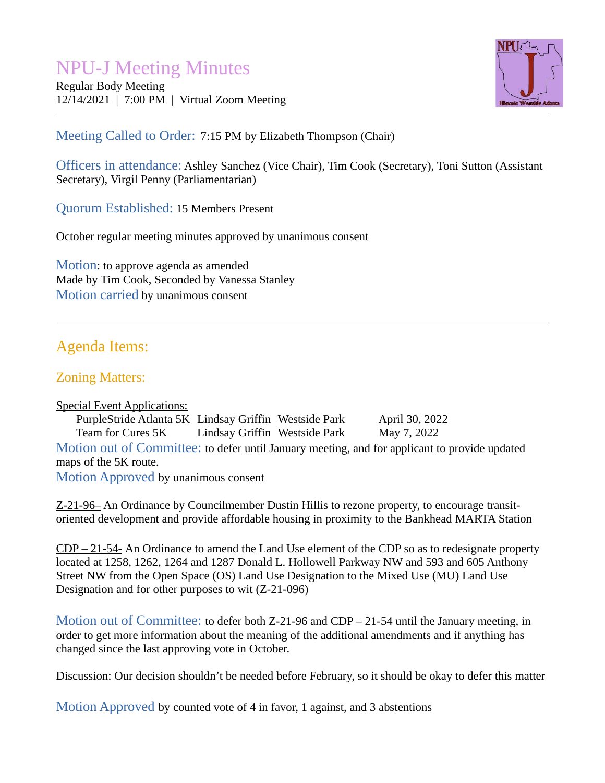# NPU-J Meeting Minutes

Regular Body Meeting 12/14/2021 | 7:00 PM | Virtual Zoom Meeting



Meeting Called to Order: 7:15 PM by Elizabeth Thompson (Chair)

Officers in attendance: Ashley Sanchez (Vice Chair), Tim Cook (Secretary), Toni Sutton (Assistant Secretary), Virgil Penny (Parliamentarian)

Quorum Established: 15 Members Present

October regular meeting minutes approved by unanimous consent

Motion: to approve agenda as amended Made by Tim Cook, Seconded by Vanessa Stanley Motion carried by unanimous consent

# Agenda Items:

## Zoning Matters:

Special Event Applications:

PurpleStride Atlanta 5K Lindsay Griffin Westside Park April 30, 2022 Team for Cures 5K Lindsay Griffin Westside Park May 7, 2022 Motion out of Committee: to defer until January meeting, and for applicant to provide updated maps of the 5K route. Motion Approved by unanimous consent

Z-21-96– An Ordinance by Councilmember Dustin Hillis to rezone property, to encourage transitoriented development and provide affordable housing in proximity to the Bankhead MARTA Station

CDP – 21-54- An Ordinance to amend the Land Use element of the CDP so as to redesignate property located at 1258, 1262, 1264 and 1287 Donald L. Hollowell Parkway NW and 593 and 605 Anthony Street NW from the Open Space (OS) Land Use Designation to the Mixed Use (MU) Land Use Designation and for other purposes to wit (Z-21-096)

Motion out of Committee: to defer both Z-21-96 and CDP – 21-54 until the January meeting, in order to get more information about the meaning of the additional amendments and if anything has changed since the last approving vote in October.

Discussion: Our decision shouldn't be needed before February, so it should be okay to defer this matter

Motion Approved by counted vote of 4 in favor, 1 against, and 3 abstentions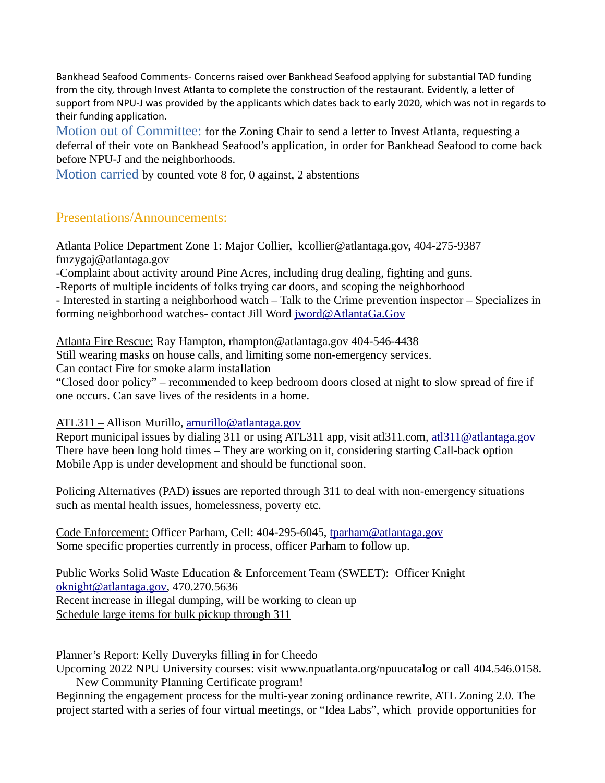Bankhead Seafood Comments- Concerns raised over Bankhead Seafood applying for substantial TAD funding from the city, through Invest Atlanta to complete the construction of the restaurant. Evidently, a letter of support from NPU-J was provided by the applicants which dates back to early 2020, which was not in regards to their funding application.

Motion out of Committee: for the Zoning Chair to send a letter to Invest Atlanta, requesting a deferral of their vote on Bankhead Seafood's application, in order for Bankhead Seafood to come back before NPU-J and the neighborhoods.

Motion carried by counted vote 8 for, 0 against, 2 abstentions

#### Presentations/Announcements:

Atlanta Police Department Zone 1: Major Collier, kcollier@atlantaga.gov, 404-275-9387 fmzygaj@atlantaga.gov

-Complaint about activity around Pine Acres, including drug dealing, fighting and guns.

-Reports of multiple incidents of folks trying car doors, and scoping the neighborhood

- Interested in starting a neighborhood watch – Talk to the Crime prevention inspector – Specializes in forming neighborhood watches- contact Jill Word [jword@AtlantaGa.Gov](mailto:jword@AtlantaGa.Gov)

Atlanta Fire Rescue: Ray Hampton, rhampton@atlantaga.gov 404-546-4438

Still wearing masks on house calls, and limiting some non-emergency services.

Can contact Fire for smoke alarm installation

"Closed door policy" – recommended to keep bedroom doors closed at night to slow spread of fire if one occurs. Can save lives of the residents in a home.

#### ATL311 – Allison Murillo, [amurillo@atlantaga.gov](mailto:amurillo@atlantaga.gov)

Report municipal issues by dialing 311 or using ATL311 app, visit atl311.com, [atl311@atlantaga.gov](mailto:atl311@atlantaga.gov) There have been long hold times – They are working on it, considering starting Call-back option Mobile App is under development and should be functional soon.

Policing Alternatives (PAD) issues are reported through 311 to deal with non-emergency situations such as mental health issues, homelessness, poverty etc.

Code Enforcement: Officer Parham, Cell: 404-295-6045, [tparham@atlantaga.gov](mailto:tparham@atlantaga.gov) Some specific properties currently in process, officer Parham to follow up.

Public Works Solid Waste Education & Enforcement Team (SWEET): Officer Knight [oknight@atlantaga.gov,](mailto:oknight@atlantaga.gov) 470.270.5636 Recent increase in illegal dumping, will be working to clean up Schedule large items for bulk pickup through 311

Planner's Report: Kelly Duveryks filling in for Cheedo

Upcoming 2022 NPU University courses: visit www.npuatlanta.org/npuucatalog or call 404.546.0158. New Community Planning Certificate program!

Beginning the engagement process for the multi-year zoning ordinance rewrite, ATL Zoning 2.0. The project started with a series of four virtual meetings, or "Idea Labs", which provide opportunities for